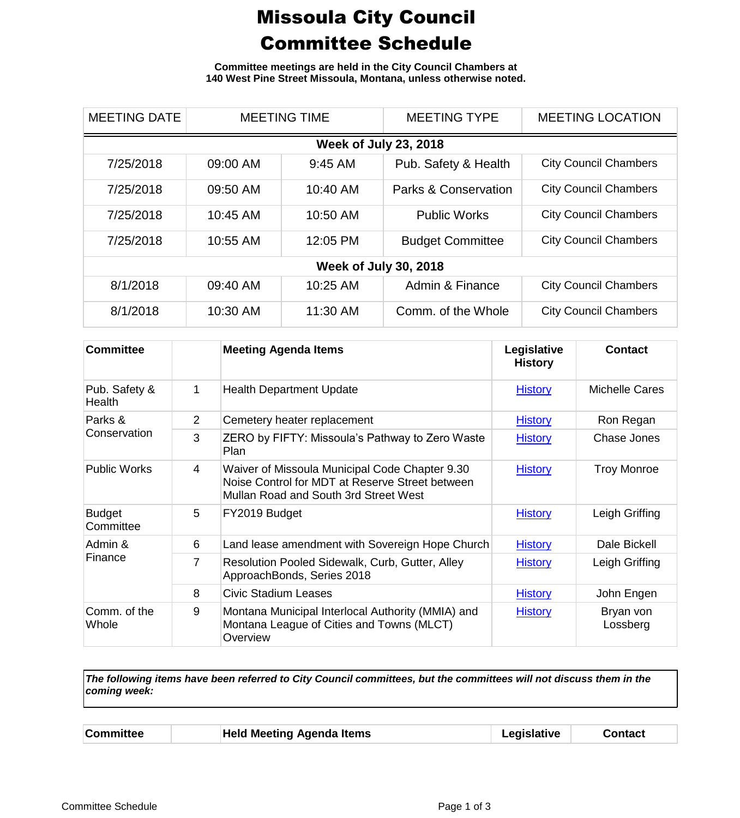## Missoula City Council Committee Schedule

**Committee meetings are held in the City Council Chambers at 140 West Pine Street Missoula, Montana, unless otherwise noted.**

| <b>MEETING DATE</b>          | <b>MEETING TIME</b> |           | <b>MEETING TYPE</b>             | <b>MEETING LOCATION</b>      |  |
|------------------------------|---------------------|-----------|---------------------------------|------------------------------|--|
| <b>Week of July 23, 2018</b> |                     |           |                                 |                              |  |
| 7/25/2018                    | 09:00 AM            | $9:45$ AM | Pub. Safety & Health            | <b>City Council Chambers</b> |  |
| 7/25/2018                    | 09:50 AM            | 10:40 AM  | <b>Parks &amp; Conservation</b> | <b>City Council Chambers</b> |  |
| 7/25/2018                    | 10:45 AM            | 10:50 AM  | <b>Public Works</b>             | <b>City Council Chambers</b> |  |
| 7/25/2018                    | 10:55 AM            | 12:05 PM  | <b>Budget Committee</b>         | <b>City Council Chambers</b> |  |
| <b>Week of July 30, 2018</b> |                     |           |                                 |                              |  |
| 8/1/2018                     | 09:40 AM            | 10:25 AM  | Admin & Finance                 | <b>City Council Chambers</b> |  |
| 8/1/2018                     | 10:30 AM            | 11:30 AM  | Comm. of the Whole              | <b>City Council Chambers</b> |  |

| <b>Committee</b>           |                | <b>Meeting Agenda Items</b>                                                                                                                | Legislative<br><b>History</b> | <b>Contact</b>        |
|----------------------------|----------------|--------------------------------------------------------------------------------------------------------------------------------------------|-------------------------------|-----------------------|
| Pub. Safety &<br>Health    | 1              | <b>Health Department Update</b>                                                                                                            | <b>History</b>                | <b>Michelle Cares</b> |
| Parks &<br>Conservation    | $\overline{2}$ | Cemetery heater replacement                                                                                                                | <b>History</b>                | Ron Regan             |
|                            | 3              | ZERO by FIFTY: Missoula's Pathway to Zero Waste<br>Plan                                                                                    | <b>History</b>                | Chase Jones           |
| <b>Public Works</b>        | 4              | Waiver of Missoula Municipal Code Chapter 9.30<br>Noise Control for MDT at Reserve Street between<br>Mullan Road and South 3rd Street West | <b>History</b>                | <b>Troy Monroe</b>    |
| <b>Budget</b><br>Committee | 5              | FY2019 Budget                                                                                                                              | <b>History</b>                | Leigh Griffing        |
| Admin &<br>Finance         | 6              | Land lease amendment with Sovereign Hope Church                                                                                            | <b>History</b>                | Dale Bickell          |
|                            | 7              | Resolution Pooled Sidewalk, Curb, Gutter, Alley<br>ApproachBonds, Series 2018                                                              | <b>History</b>                | Leigh Griffing        |
|                            | 8              | Civic Stadium Leases                                                                                                                       | <b>History</b>                | John Engen            |
| Comm. of the<br>Whole      | 9              | Montana Municipal Interlocal Authority (MMIA) and<br>Montana League of Cities and Towns (MLCT)<br>Overview                                 | <b>History</b>                | Bryan von<br>Lossberg |

*The following items have been referred to City Council committees, but the committees will not discuss them in the coming week:*

| <b>Committee</b> |  | <b>Held Meeting Agenda Items</b> | Legislative | Contact |
|------------------|--|----------------------------------|-------------|---------|
|------------------|--|----------------------------------|-------------|---------|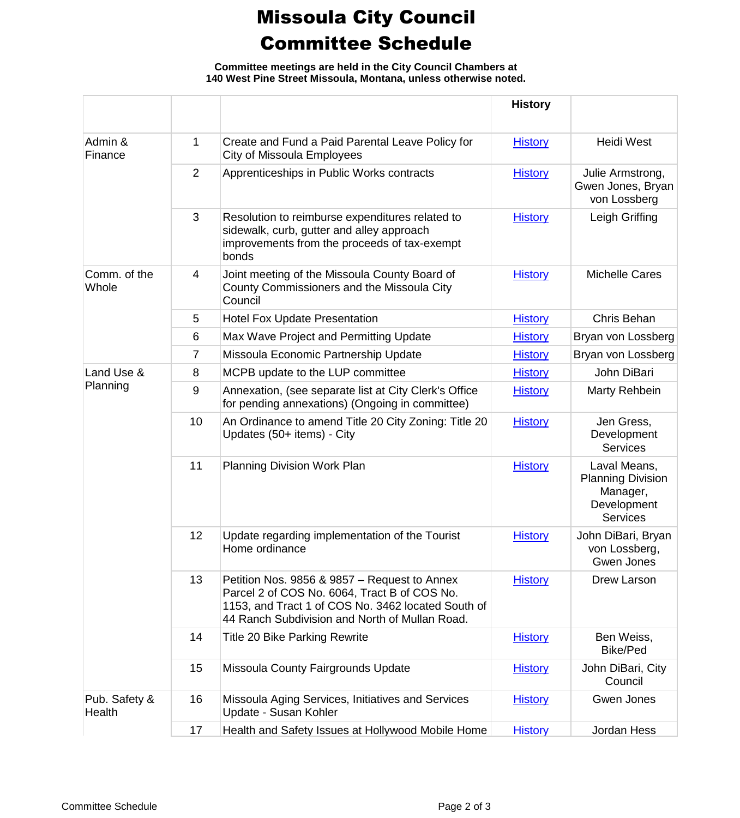## Missoula City Council Committee Schedule

**Committee meetings are held in the City Council Chambers at 140 West Pine Street Missoula, Montana, unless otherwise noted.**

|                         |                |                                                                                                                                                                                                      | <b>History</b> |                                                                                        |
|-------------------------|----------------|------------------------------------------------------------------------------------------------------------------------------------------------------------------------------------------------------|----------------|----------------------------------------------------------------------------------------|
| Admin &<br>Finance      | 1              | Create and Fund a Paid Parental Leave Policy for<br>City of Missoula Employees                                                                                                                       | <b>History</b> | <b>Heidi West</b>                                                                      |
|                         | $\overline{2}$ | Apprenticeships in Public Works contracts                                                                                                                                                            | <b>History</b> | Julie Armstrong,<br>Gwen Jones, Bryan<br>von Lossberg                                  |
|                         | 3              | Resolution to reimburse expenditures related to<br>sidewalk, curb, gutter and alley approach<br>improvements from the proceeds of tax-exempt<br>bonds                                                | <b>History</b> | Leigh Griffing                                                                         |
| Comm. of the<br>Whole   | 4              | Joint meeting of the Missoula County Board of<br>County Commissioners and the Missoula City<br>Council                                                                                               | <b>History</b> | <b>Michelle Cares</b>                                                                  |
|                         | 5              | <b>Hotel Fox Update Presentation</b>                                                                                                                                                                 | <b>History</b> | Chris Behan                                                                            |
|                         | 6              | Max Wave Project and Permitting Update                                                                                                                                                               | <b>History</b> | Bryan von Lossberg                                                                     |
|                         | 7              | Missoula Economic Partnership Update                                                                                                                                                                 | <b>History</b> | Bryan von Lossberg                                                                     |
| Land Use &              | 8              | MCPB update to the LUP committee                                                                                                                                                                     | <b>History</b> | John DiBari                                                                            |
| Planning                | $9\,$          | Annexation, (see separate list at City Clerk's Office<br>for pending annexations) (Ongoing in committee)                                                                                             | <b>History</b> | Marty Rehbein                                                                          |
|                         | 10             | An Ordinance to amend Title 20 City Zoning: Title 20<br>Updates (50+ items) - City                                                                                                                   | <b>History</b> | Jen Gress,<br>Development<br><b>Services</b>                                           |
|                         | 11             | Planning Division Work Plan                                                                                                                                                                          | <b>History</b> | Laval Means,<br><b>Planning Division</b><br>Manager,<br>Development<br><b>Services</b> |
|                         | 12             | Update regarding implementation of the Tourist<br>Home ordinance                                                                                                                                     | <b>History</b> | John DiBari, Bryan<br>von Lossberg,<br>Gwen Jones                                      |
|                         | 13             | Petition Nos. 9856 & 9857 – Request to Annex<br>Parcel 2 of COS No. 6064, Tract B of COS No.<br>1153, and Tract 1 of COS No. 3462 located South of<br>44 Ranch Subdivision and North of Mullan Road. | <b>History</b> | Drew Larson                                                                            |
|                         | 14             | <b>Title 20 Bike Parking Rewrite</b>                                                                                                                                                                 | <b>History</b> | Ben Weiss,<br>Bike/Ped                                                                 |
|                         | 15             | Missoula County Fairgrounds Update                                                                                                                                                                   | <b>History</b> | John DiBari, City<br>Council                                                           |
| Pub. Safety &<br>Health | 16             | Missoula Aging Services, Initiatives and Services<br>Update - Susan Kohler                                                                                                                           | <b>History</b> | Gwen Jones                                                                             |
|                         | 17             | Health and Safety Issues at Hollywood Mobile Home                                                                                                                                                    | <b>History</b> | Jordan Hess                                                                            |